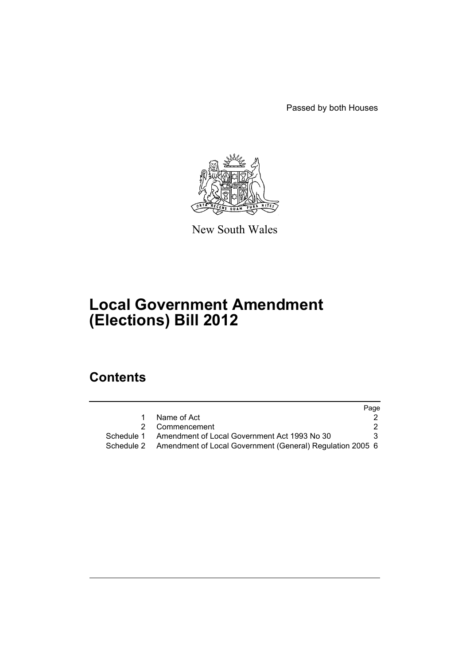Passed by both Houses



New South Wales

# **Local Government Amendment (Elections) Bill 2012**

# **Contents**

|            |                                                           | Page |
|------------|-----------------------------------------------------------|------|
|            | Name of Act                                               |      |
|            | Commencement                                              | 2    |
| Schedule 1 | Amendment of Local Government Act 1993 No 30              |      |
| Schedule 2 | Amendment of Local Government (General) Regulation 2005 6 |      |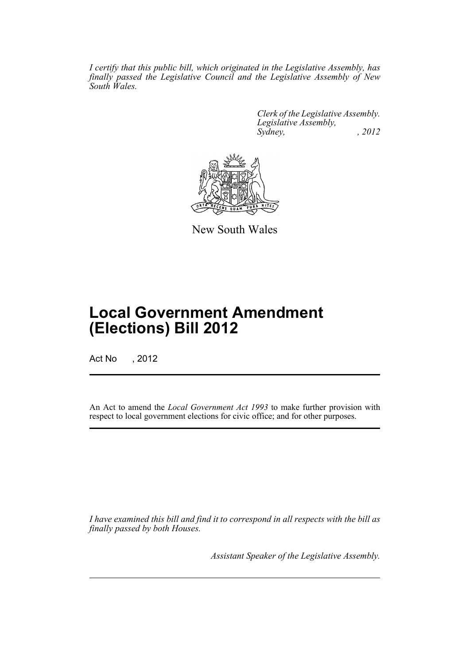*I certify that this public bill, which originated in the Legislative Assembly, has finally passed the Legislative Council and the Legislative Assembly of New South Wales.*

> *Clerk of the Legislative Assembly. Legislative Assembly, Sydney, , 2012*



New South Wales

# **Local Government Amendment (Elections) Bill 2012**

Act No , 2012

An Act to amend the *Local Government Act 1993* to make further provision with respect to local government elections for civic office; and for other purposes.

*I have examined this bill and find it to correspond in all respects with the bill as finally passed by both Houses.*

*Assistant Speaker of the Legislative Assembly.*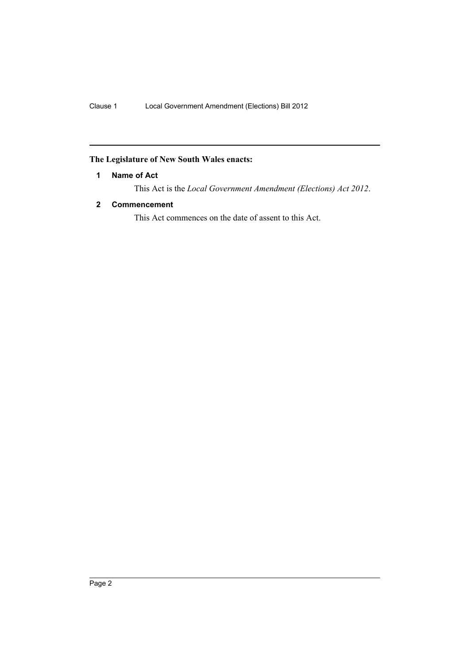# <span id="page-3-0"></span>**The Legislature of New South Wales enacts:**

# **1 Name of Act**

This Act is the *Local Government Amendment (Elections) Act 2012*.

# <span id="page-3-1"></span>**2 Commencement**

This Act commences on the date of assent to this Act.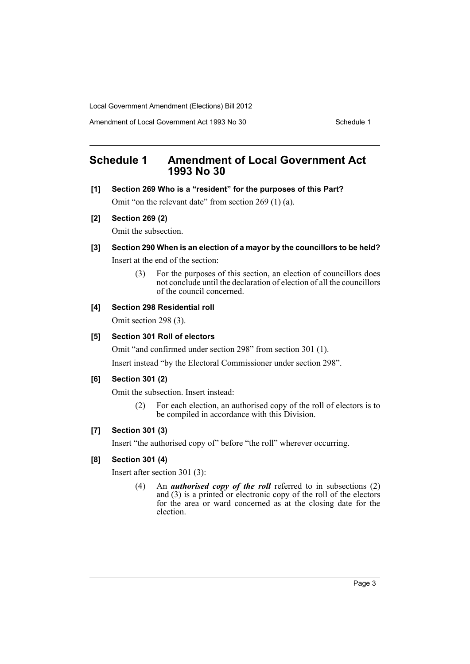Amendment of Local Government Act 1993 No 30 Schedule 1

# <span id="page-4-0"></span>**Schedule 1 Amendment of Local Government Act 1993 No 30**

**[1] Section 269 Who is a "resident" for the purposes of this Part?**

Omit "on the relevant date" from section 269 (1) (a).

# **[2] Section 269 (2)**

Omit the subsection.

# **[3] Section 290 When is an election of a mayor by the councillors to be held?**

Insert at the end of the section:

(3) For the purposes of this section, an election of councillors does not conclude until the declaration of election of all the councillors of the council concerned.

# **[4] Section 298 Residential roll**

Omit section 298 (3).

# **[5] Section 301 Roll of electors**

Omit "and confirmed under section 298" from section 301 (1).

Insert instead "by the Electoral Commissioner under section 298".

# **[6] Section 301 (2)**

Omit the subsection. Insert instead:

(2) For each election, an authorised copy of the roll of electors is to be compiled in accordance with this Division.

# **[7] Section 301 (3)**

Insert "the authorised copy of" before "the roll" wherever occurring.

# **[8] Section 301 (4)**

Insert after section 301 (3):

(4) An *authorised copy of the roll* referred to in subsections (2) and  $(3)$  is a printed or electronic copy of the roll of the electors for the area or ward concerned as at the closing date for the election.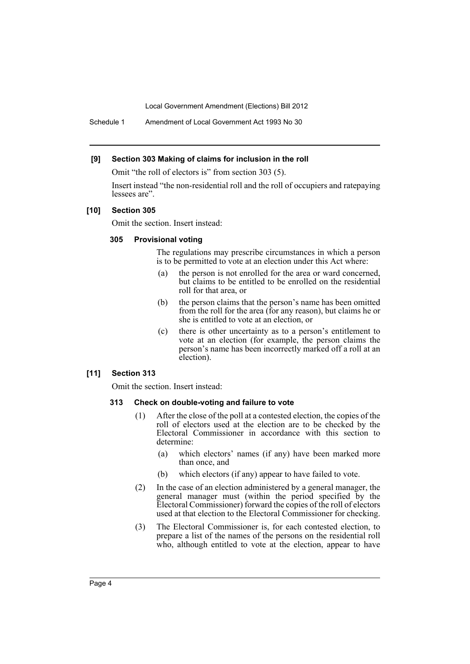Schedule 1 Amendment of Local Government Act 1993 No 30

### **[9] Section 303 Making of claims for inclusion in the roll**

Omit "the roll of electors is" from section 303 (5).

Insert instead "the non-residential roll and the roll of occupiers and ratepaying lessees are".

### **[10] Section 305**

Omit the section. Insert instead:

### **305 Provisional voting**

The regulations may prescribe circumstances in which a person is to be permitted to vote at an election under this Act where:

- (a) the person is not enrolled for the area or ward concerned, but claims to be entitled to be enrolled on the residential roll for that area, or
- (b) the person claims that the person's name has been omitted from the roll for the area (for any reason), but claims he or she is entitled to vote at an election, or
- (c) there is other uncertainty as to a person's entitlement to vote at an election (for example, the person claims the person's name has been incorrectly marked off a roll at an election).

### **[11] Section 313**

Omit the section. Insert instead:

### **313 Check on double-voting and failure to vote**

- (1) After the close of the poll at a contested election, the copies of the roll of electors used at the election are to be checked by the Electoral Commissioner in accordance with this section to determine:
	- (a) which electors' names (if any) have been marked more than once, and
	- (b) which electors (if any) appear to have failed to vote.
- (2) In the case of an election administered by a general manager, the general manager must (within the period specified by the Electoral Commissioner) forward the copies of the roll of electors used at that election to the Electoral Commissioner for checking.
- (3) The Electoral Commissioner is, for each contested election, to prepare a list of the names of the persons on the residential roll who, although entitled to vote at the election, appear to have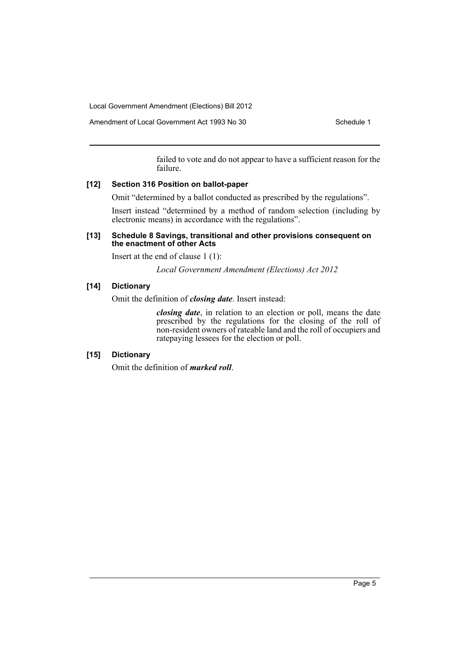Amendment of Local Government Act 1993 No 30 Schedule 1

failed to vote and do not appear to have a sufficient reason for the failure.

### **[12] Section 316 Position on ballot-paper**

Omit "determined by a ballot conducted as prescribed by the regulations".

Insert instead "determined by a method of random selection (including by electronic means) in accordance with the regulations".

### **[13] Schedule 8 Savings, transitional and other provisions consequent on the enactment of other Acts**

Insert at the end of clause 1 (1):

*Local Government Amendment (Elections) Act 2012*

# **[14] Dictionary**

Omit the definition of *closing date*. Insert instead:

*closing date*, in relation to an election or poll, means the date prescribed by the regulations for the closing of the roll of non-resident owners of rateable land and the roll of occupiers and ratepaying lessees for the election or poll.

# **[15] Dictionary**

Omit the definition of *marked roll*.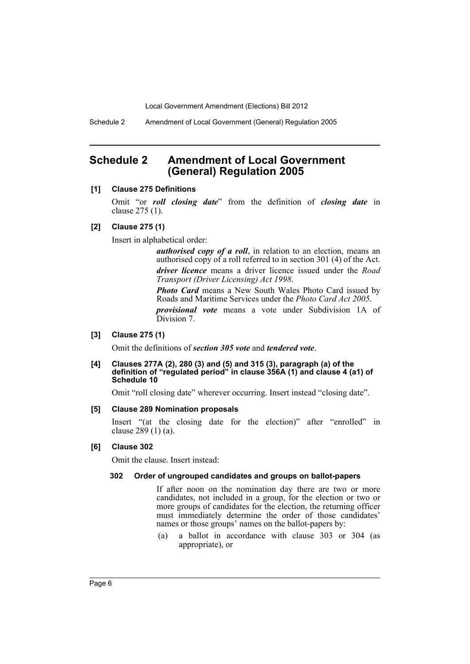Schedule 2 Amendment of Local Government (General) Regulation 2005

# <span id="page-7-0"></span>**Schedule 2 Amendment of Local Government (General) Regulation 2005**

# **[1] Clause 275 Definitions**

Omit "or *roll closing date*" from the definition of *closing date* in clause 275 (1).

### **[2] Clause 275 (1)**

Insert in alphabetical order:

*authorised copy of a roll*, in relation to an election, means an authorised copy of a roll referred to in section 301 (4) of the Act. *driver licence* means a driver licence issued under the *Road Transport (Driver Licensing) Act 1998*.

*Photo Card* means a New South Wales Photo Card issued by Roads and Maritime Services under the *Photo Card Act 2005*. *provisional vote* means a vote under Subdivision 1A of Division 7.

#### **[3] Clause 275 (1)**

Omit the definitions of *section 305 vote* and *tendered vote*.

### **[4] Clauses 277A (2), 280 (3) and (5) and 315 (3), paragraph (a) of the definition of "regulated period" in clause 356A (1) and clause 4 (a1) of Schedule 10**

Omit "roll closing date" wherever occurring. Insert instead "closing date".

### **[5] Clause 289 Nomination proposals**

Insert "(at the closing date for the election)" after "enrolled" in clause  $289(1)(a)$ .

### **[6] Clause 302**

Omit the clause. Insert instead:

### **302 Order of ungrouped candidates and groups on ballot-papers**

If after noon on the nomination day there are two or more candidates, not included in a group, for the election or two or more groups of candidates for the election, the returning officer must immediately determine the order of those candidates' names or those groups' names on the ballot-papers by:

(a) a ballot in accordance with clause 303 or 304 (as appropriate), or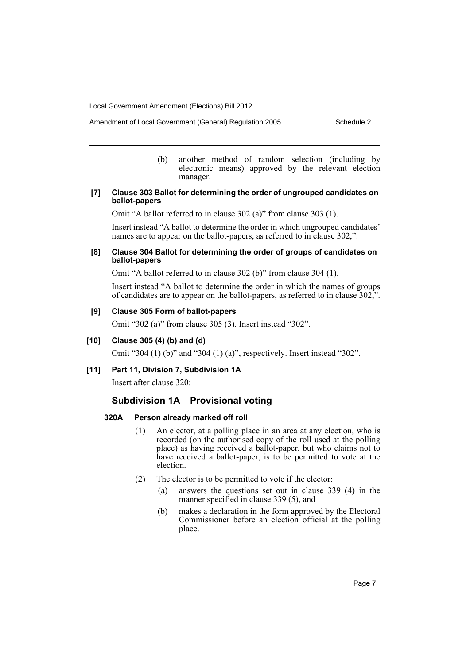- Amendment of Local Government (General) Regulation 2005 Schedule 2
	- (b) another method of random selection (including by electronic means) approved by the relevant election manager.

### **[7] Clause 303 Ballot for determining the order of ungrouped candidates on ballot-papers**

Omit "A ballot referred to in clause 302 (a)" from clause 303 (1).

Insert instead "A ballot to determine the order in which ungrouped candidates' names are to appear on the ballot-papers, as referred to in clause 302,".

## **[8] Clause 304 Ballot for determining the order of groups of candidates on ballot-papers**

Omit "A ballot referred to in clause 302 (b)" from clause 304 (1).

Insert instead "A ballot to determine the order in which the names of groups of candidates are to appear on the ballot-papers, as referred to in clause 302,".

# **[9] Clause 305 Form of ballot-papers**

Omit "302 (a)" from clause 305 (3). Insert instead "302".

# **[10] Clause 305 (4) (b) and (d)**

Omit "304 (1) (b)" and "304 (1) (a)", respectively. Insert instead "302".

# **[11] Part 11, Division 7, Subdivision 1A**

Insert after clause 320:

# **Subdivision 1A Provisional voting**

# **320A Person already marked off roll**

- (1) An elector, at a polling place in an area at any election, who is recorded (on the authorised copy of the roll used at the polling place) as having received a ballot-paper, but who claims not to have received a ballot-paper, is to be permitted to vote at the election.
- (2) The elector is to be permitted to vote if the elector:
	- (a) answers the questions set out in clause 339 (4) in the manner specified in clause 339 (5), and
	- (b) makes a declaration in the form approved by the Electoral Commissioner before an election official at the polling place.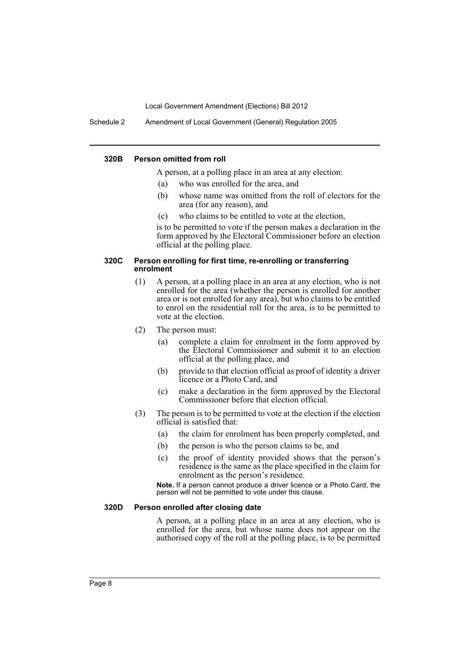Schedule 2 Amendment of Local Government (General) Regulation 2005

### **320B Person omitted from roll**

A person, at a polling place in an area at any election:

- (a) who was enrolled for the area, and
- (b) whose name was omitted from the roll of electors for the area (for any reason), and
- (c) who claims to be entitled to vote at the election,

is to be permitted to vote if the person makes a declaration in the form approved by the Electoral Commissioner before an election official at the polling place.

### **320C Person enrolling for first time, re-enrolling or transferring enrolment**

- (1) A person, at a polling place in an area at any election, who is not enrolled for the area (whether the person is enrolled for another area or is not enrolled for any area), but who claims to be entitled to enrol on the residential roll for the area, is to be permitted to vote at the election.
- (2) The person must:
	- (a) complete a claim for enrolment in the form approved by the Electoral Commissioner and submit it to an election official at the polling place, and
	- (b) provide to that election official as proof of identity a driver licence or a Photo Card, and
	- (c) make a declaration in the form approved by the Electoral Commissioner before that election official.
- (3) The person is to be permitted to vote at the election if the election official is satisfied that:
	- (a) the claim for enrolment has been properly completed, and
	- (b) the person is who the person claims to be, and
	- (c) the proof of identity provided shows that the person's residence is the same as the place specified in the claim for enrolment as the person's residence.

**Note.** If a person cannot produce a driver licence or a Photo Card, the person will not be permitted to vote under this clause.

### **320D Person enrolled after closing date**

A person, at a polling place in an area at any election, who is enrolled for the area, but whose name does not appear on the authorised copy of the roll at the polling place, is to be permitted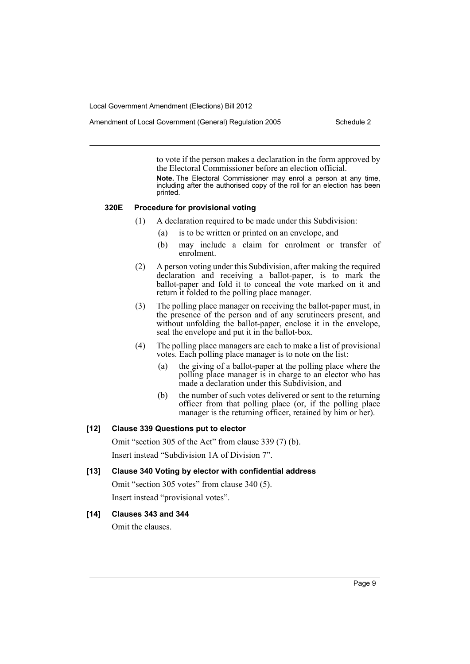Amendment of Local Government (General) Regulation 2005 Schedule 2

to vote if the person makes a declaration in the form approved by the Electoral Commissioner before an election official.

**Note.** The Electoral Commissioner may enrol a person at any time, including after the authorised copy of the roll for an election has been printed.

### **320E Procedure for provisional voting**

- (1) A declaration required to be made under this Subdivision:
	- (a) is to be written or printed on an envelope, and
	- (b) may include a claim for enrolment or transfer of enrolment.
- (2) A person voting under this Subdivision, after making the required declaration and receiving a ballot-paper, is to mark the ballot-paper and fold it to conceal the vote marked on it and return it folded to the polling place manager.
- (3) The polling place manager on receiving the ballot-paper must, in the presence of the person and of any scrutineers present, and without unfolding the ballot-paper, enclose it in the envelope, seal the envelope and put it in the ballot-box.
- (4) The polling place managers are each to make a list of provisional votes. Each polling place manager is to note on the list:
	- (a) the giving of a ballot-paper at the polling place where the polling place manager is in charge to an elector who has made a declaration under this Subdivision, and
	- (b) the number of such votes delivered or sent to the returning officer from that polling place (or, if the polling place manager is the returning officer, retained by him or her).

### **[12] Clause 339 Questions put to elector**

Omit "section 305 of the Act" from clause 339 (7) (b). Insert instead "Subdivision 1A of Division 7".

### **[13] Clause 340 Voting by elector with confidential address**

Omit "section 305 votes" from clause 340 (5). Insert instead "provisional votes".

# **[14] Clauses 343 and 344**

Omit the clauses.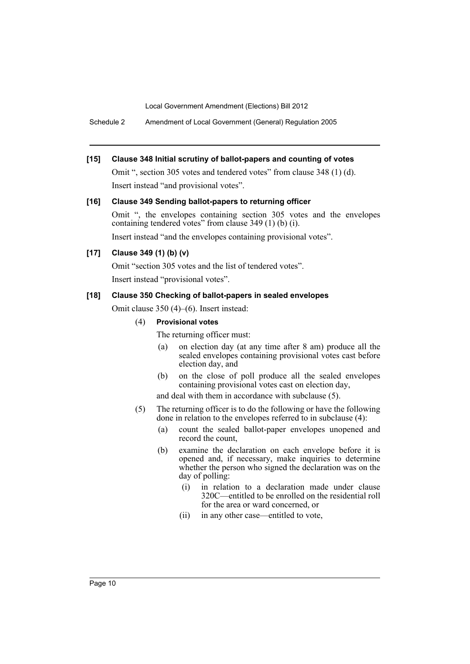Schedule 2 Amendment of Local Government (General) Regulation 2005

## **[15] Clause 348 Initial scrutiny of ballot-papers and counting of votes**

Omit ", section 305 votes and tendered votes" from clause 348 (1) (d). Insert instead "and provisional votes".

### **[16] Clause 349 Sending ballot-papers to returning officer**

Omit ", the envelopes containing section 305 votes and the envelopes containing tendered votes" from clause 349 (1) (b) (i).

Insert instead "and the envelopes containing provisional votes".

# **[17] Clause 349 (1) (b) (v)**

Omit "section 305 votes and the list of tendered votes". Insert instead "provisional votes".

### **[18] Clause 350 Checking of ballot-papers in sealed envelopes**

Omit clause 350 (4)–(6). Insert instead:

### (4) **Provisional votes**

The returning officer must:

- (a) on election day (at any time after 8 am) produce all the sealed envelopes containing provisional votes cast before election day, and
- (b) on the close of poll produce all the sealed envelopes containing provisional votes cast on election day,

and deal with them in accordance with subclause (5).

- (5) The returning officer is to do the following or have the following done in relation to the envelopes referred to in subclause (4):
	- (a) count the sealed ballot-paper envelopes unopened and record the count,
	- (b) examine the declaration on each envelope before it is opened and, if necessary, make inquiries to determine whether the person who signed the declaration was on the day of polling:
		- (i) in relation to a declaration made under clause 320C—entitled to be enrolled on the residential roll for the area or ward concerned, or
		- (ii) in any other case—entitled to vote,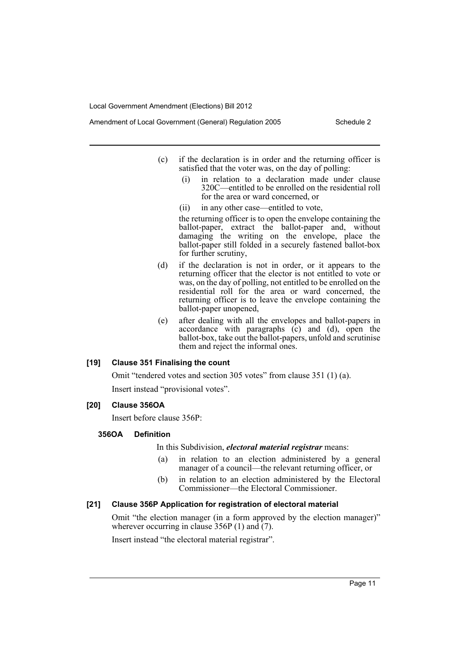- Amendment of Local Government (General) Regulation 2005 Schedule 2
	- (c) if the declaration is in order and the returning officer is satisfied that the voter was, on the day of polling:
		- (i) in relation to a declaration made under clause 320C—entitled to be enrolled on the residential roll for the area or ward concerned, or
		- (ii) in any other case—entitled to vote,

the returning officer is to open the envelope containing the ballot-paper, extract the ballot-paper and, without damaging the writing on the envelope, place the ballot-paper still folded in a securely fastened ballot-box for further scrutiny,

- (d) if the declaration is not in order, or it appears to the returning officer that the elector is not entitled to vote or was, on the day of polling, not entitled to be enrolled on the residential roll for the area or ward concerned, the returning officer is to leave the envelope containing the ballot-paper unopened,
- (e) after dealing with all the envelopes and ballot-papers in accordance with paragraphs (c) and (d), open the ballot-box, take out the ballot-papers, unfold and scrutinise them and reject the informal ones.

### **[19] Clause 351 Finalising the count**

Omit "tendered votes and section 305 votes" from clause 351 (1) (a).

Insert instead "provisional votes".

### **[20] Clause 356OA**

Insert before clause 356P:

# **356OA Definition**

In this Subdivision, *electoral material registrar* means:

- (a) in relation to an election administered by a general manager of a council—the relevant returning officer, or
- (b) in relation to an election administered by the Electoral Commissioner—the Electoral Commissioner.

# **[21] Clause 356P Application for registration of electoral material**

Omit "the election manager (in a form approved by the election manager)" wherever occurring in clause  $356P(1)$  and  $(7)$ .

Insert instead "the electoral material registrar".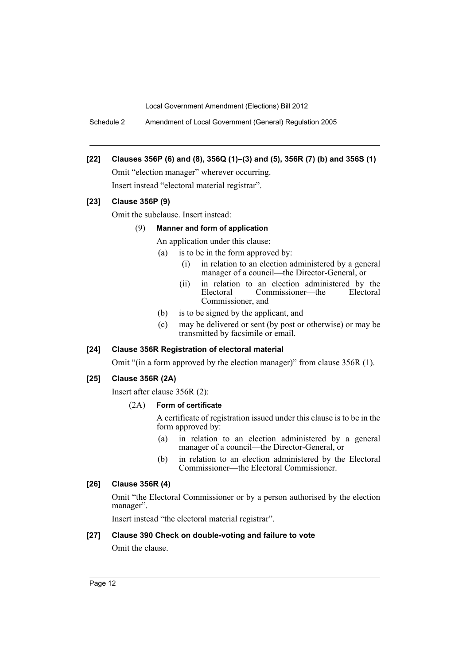Schedule 2 Amendment of Local Government (General) Regulation 2005

# **[22] Clauses 356P (6) and (8), 356Q (1)–(3) and (5), 356R (7) (b) and 356S (1)**

Omit "election manager" wherever occurring. Insert instead "electoral material registrar".

# **[23] Clause 356P (9)**

Omit the subclause. Insert instead:

## (9) **Manner and form of application**

An application under this clause:

- (a) is to be in the form approved by:
	- (i) in relation to an election administered by a general manager of a council—the Director-General, or
	- (ii) in relation to an election administered by the Electoral Commissioner—the Electoral Commissioner—the Commissioner, and
- (b) is to be signed by the applicant, and
- (c) may be delivered or sent (by post or otherwise) or may be transmitted by facsimile or email.

# **[24] Clause 356R Registration of electoral material**

Omit "(in a form approved by the election manager)" from clause 356R (1).

### **[25] Clause 356R (2A)**

Insert after clause 356R (2):

### (2A) **Form of certificate**

A certificate of registration issued under this clause is to be in the form approved by:

- (a) in relation to an election administered by a general manager of a council—the Director-General, or
- (b) in relation to an election administered by the Electoral Commissioner—the Electoral Commissioner.

# **[26] Clause 356R (4)**

Omit "the Electoral Commissioner or by a person authorised by the election manager".

Insert instead "the electoral material registrar".

### **[27] Clause 390 Check on double-voting and failure to vote**

Omit the clause.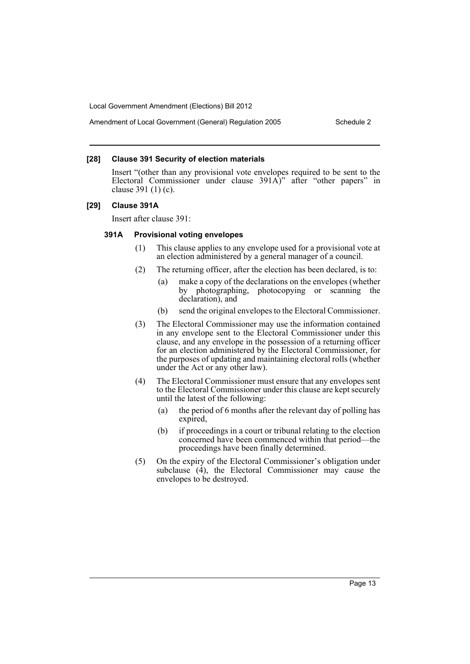### **[28] Clause 391 Security of election materials**

Insert "(other than any provisional vote envelopes required to be sent to the Electoral Commissioner under clause 391A)" after "other papers" in clause 391 (1) (c).

### **[29] Clause 391A**

Insert after clause 391:

### **391A Provisional voting envelopes**

- (1) This clause applies to any envelope used for a provisional vote at an election administered by a general manager of a council.
- (2) The returning officer, after the election has been declared, is to:
	- (a) make a copy of the declarations on the envelopes (whether by photographing, photocopying or scanning the declaration), and
	- (b) send the original envelopes to the Electoral Commissioner.
- (3) The Electoral Commissioner may use the information contained in any envelope sent to the Electoral Commissioner under this clause, and any envelope in the possession of a returning officer for an election administered by the Electoral Commissioner, for the purposes of updating and maintaining electoral rolls (whether under the Act or any other law).
- (4) The Electoral Commissioner must ensure that any envelopes sent to the Electoral Commissioner under this clause are kept securely until the latest of the following:
	- (a) the period of 6 months after the relevant day of polling has expired,
	- (b) if proceedings in a court or tribunal relating to the election concerned have been commenced within that period—the proceedings have been finally determined.
- (5) On the expiry of the Electoral Commissioner's obligation under subclause  $(4)$ , the Electoral Commissioner may cause the envelopes to be destroyed.